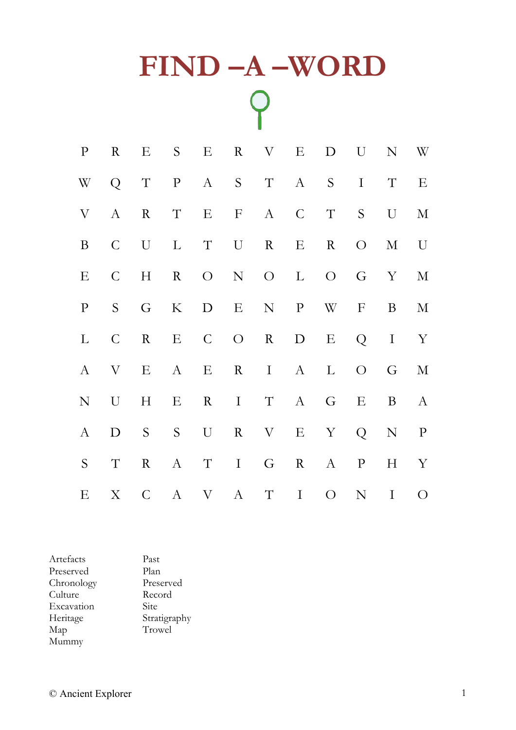## **FIND –A –WORD**  $\overline{Q}$

| $\mathbf{P}$       | $\rm R$      | E S E R V               |         |     | $\mathbf{E}$    |                       | D U            |              | N W          |
|--------------------|--------------|-------------------------|---------|-----|-----------------|-----------------------|----------------|--------------|--------------|
|                    |              |                         |         |     |                 | W Q T P A S T A S I T |                |              | E            |
| $\rm V$            |              | A R                     |         |     |                 | T E F A C T S U       |                |              | $\mathbf M$  |
| $\bf{B}$           |              | $C$ $U$ $L$ $T$ $U$ $R$ |         |     | $E_{\parallel}$ | $\mathbf R$           | $\overline{O}$ |              | M U          |
| E                  | $\mathsf{C}$ | H                       |         |     |                 | R O N O L O G Y M     |                |              |              |
| $\mathbf{P}% _{0}$ |              | S G                     |         |     |                 | K D E N P W F         |                | $\mathbf{B}$ | $\mathbf M$  |
| $\Gamma$           |              |                         |         |     |                 | C R E C O R D E Q I Y |                |              |              |
| $\mathbf{A}$       |              |                         |         |     |                 | V E A E R I A L       | $\overline{O}$ | G            | $\mathbf M$  |
| ${\bf N}$          | $\mathbf U$  | H                       | E R I T |     |                 | A G E                 |                | B            | $\mathbf{A}$ |
| $\mathbf{A}$       | D            | S S U                   |         |     |                 | R V E Y Q N P         |                |              |              |
| S                  | $\mathbf T$  | $\mathbf R$             | A T     | I G | R               | A                     | $\mathbf{P}$   | H            | $\mathbf{Y}$ |
|                    |              |                         |         |     |                 |                       |                |              |              |

Artefacts Past Preserved Chronology Preserved<br>Culture Record Culture Excavation Site<br>Heritage Stra Heritage Stratigraphy<br>Map Trowel Trowel Mummy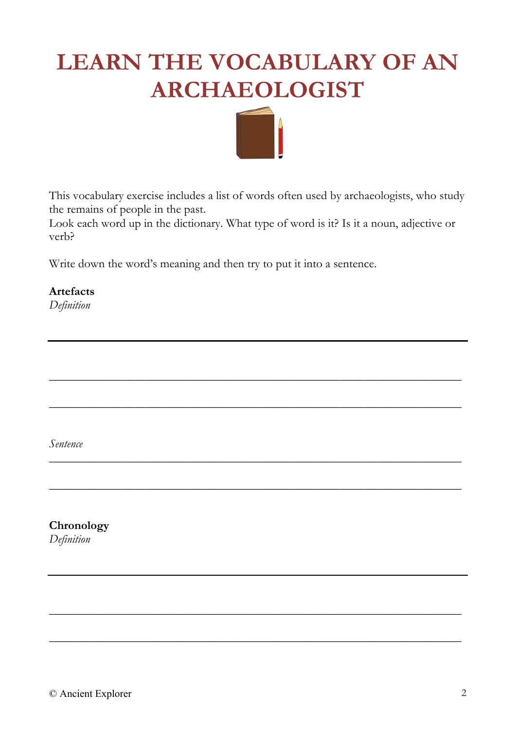## **LEARN THE VOCABULARY OF AN ARCHAEOLOGIST**



This vocabulary exercise includes a list of words often used by archaeologists, who study the remains of people in the past.

Look each word up in the dictionary. What type of word is it? Is it a noun, adjective or verb?

\_\_\_\_\_\_\_\_\_\_\_\_\_\_\_\_\_\_\_\_\_\_\_\_\_\_\_\_\_\_\_\_\_\_\_\_\_\_\_\_\_\_\_\_\_\_\_\_\_\_\_\_\_\_\_\_\_\_\_\_\_\_\_\_\_\_\_\_

 $\_$  , and the set of the set of the set of the set of the set of the set of the set of the set of the set of the set of the set of the set of the set of the set of the set of the set of the set of the set of the set of th

\_\_\_\_\_\_\_\_\_\_\_\_\_\_\_\_\_\_\_\_\_\_\_\_\_\_\_\_\_\_\_\_\_\_\_\_\_\_\_\_\_\_\_\_\_\_\_\_\_\_\_\_\_\_\_\_\_\_\_\_\_\_\_\_\_\_\_\_

\_\_\_\_\_\_\_\_\_\_\_\_\_\_\_\_\_\_\_\_\_\_\_\_\_\_\_\_\_\_\_\_\_\_\_\_\_\_\_\_\_\_\_\_\_\_\_\_\_\_\_\_\_\_\_\_\_\_\_\_\_\_\_\_\_\_\_\_

\_\_\_\_\_\_\_\_\_\_\_\_\_\_\_\_\_\_\_\_\_\_\_\_\_\_\_\_\_\_\_\_\_\_\_\_\_\_\_\_\_\_\_\_\_\_\_\_\_\_\_\_\_\_\_\_\_\_\_\_\_\_\_\_\_\_\_\_

\_\_\_\_\_\_\_\_\_\_\_\_\_\_\_\_\_\_\_\_\_\_\_\_\_\_\_\_\_\_\_\_\_\_\_\_\_\_\_\_\_\_\_\_\_\_\_\_\_\_\_\_\_\_\_\_\_\_\_\_\_\_\_\_\_\_\_\_

Write down the word's meaning and then try to put it into a sentence.

**Artefacts**

*Definition*

*Sentence*

**Chronology**

*Definition*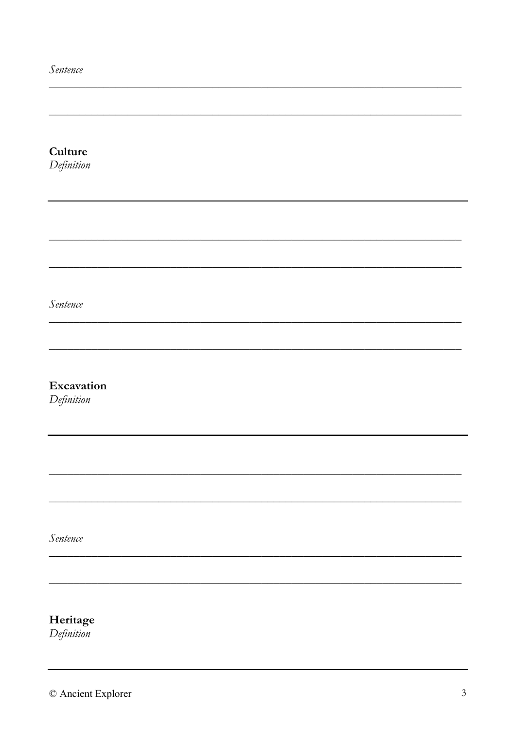Sentence

| Culture                |  |  |  |
|------------------------|--|--|--|
| Definition             |  |  |  |
|                        |  |  |  |
|                        |  |  |  |
|                        |  |  |  |
|                        |  |  |  |
|                        |  |  |  |
|                        |  |  |  |
| Sentence               |  |  |  |
|                        |  |  |  |
|                        |  |  |  |
|                        |  |  |  |
| Excavation             |  |  |  |
| $Definition$           |  |  |  |
|                        |  |  |  |
|                        |  |  |  |
|                        |  |  |  |
|                        |  |  |  |
|                        |  |  |  |
|                        |  |  |  |
| Sentence               |  |  |  |
|                        |  |  |  |
|                        |  |  |  |
|                        |  |  |  |
|                        |  |  |  |
| Heritage<br>Definition |  |  |  |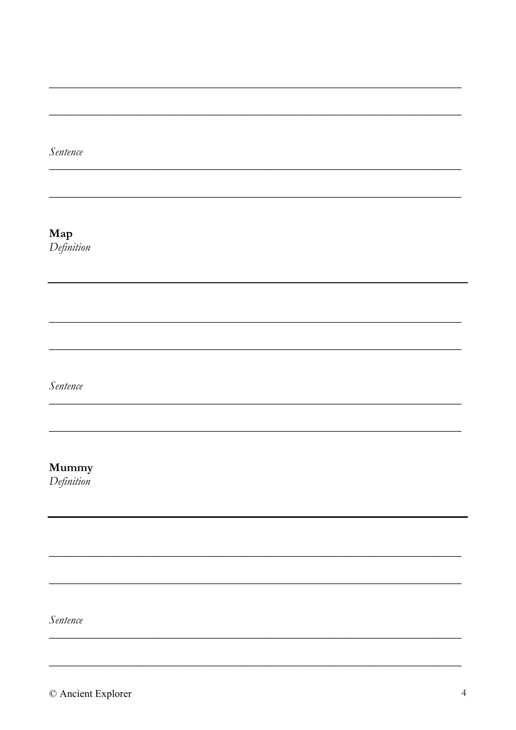Sentence

Map Definition

Sentence

Mummy

Definition

Sentence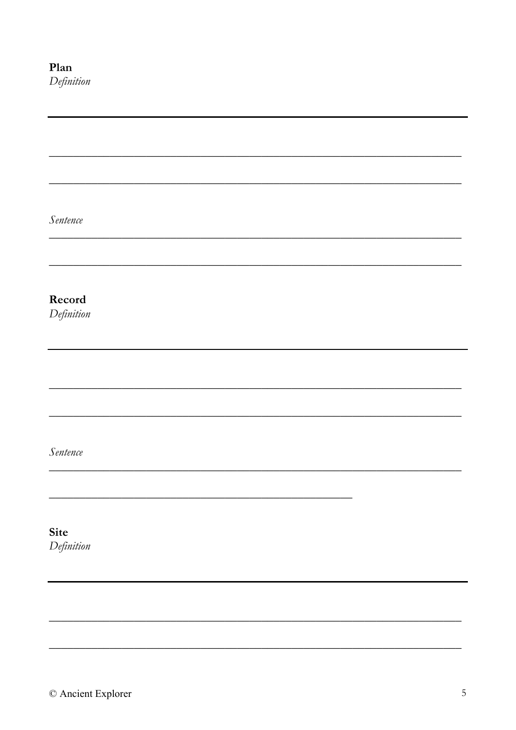| Sentence             |  |  |  |
|----------------------|--|--|--|
|                      |  |  |  |
|                      |  |  |  |
|                      |  |  |  |
| Record<br>Definition |  |  |  |
|                      |  |  |  |
|                      |  |  |  |
|                      |  |  |  |
|                      |  |  |  |
|                      |  |  |  |
| Sentence             |  |  |  |
|                      |  |  |  |
|                      |  |  |  |
|                      |  |  |  |
| Site<br>Definition   |  |  |  |
|                      |  |  |  |
|                      |  |  |  |
|                      |  |  |  |